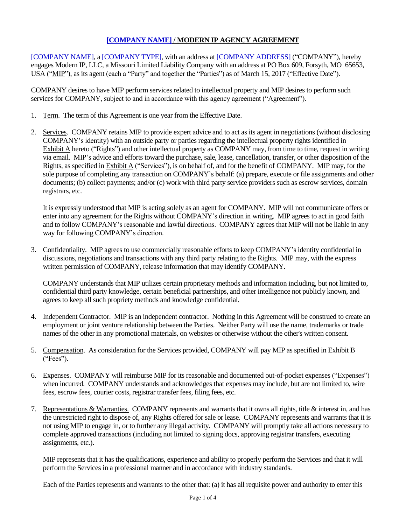<span id="page-0-0"></span>[COMPANY NAME], a [COMPANY TYPE], with an address at [COMPANY ADDRESS] ("COMPANY"), hereby engages Modern IP, LLC, a Missouri Limited Liability Company with an address at PO Box 609, Forsyth, MO 65653, USA ("MIP"), as its agent (each a "Party" and together the "Parties") as of March 15, 2017 ("Effective Date").

COMPANY desires to have MIP perform services related to intellectual property and MIP desires to perform such services for COMPANY, subject to and in accordance with this agency agreement ("Agreement").

- 1. Term. The term of this Agreement is one year from the Effective Date.
- 2. Services. COMPANY retains MIP to provide expert advice and to act as its agent in negotiations (without disclosing COMPANY's identity) with an outside party or parties regarding the intellectual property rights identified in Exhibit A hereto ("Rights") and other intellectual property as COMPANY may, from time to time, request in writing via email. MIP's advice and efforts toward the purchase, sale, lease, cancellation, transfer, or other disposition of the Rights, as specified in Exhibit A ("Services"), is on behalf of, and for the benefit of COMPANY. MIP may, for the sole purpose of completing any transaction on COMPANY's behalf: (a) prepare, execute or file assignments and other documents; (b) collect payments; and/or (c) work with third party service providers such as escrow services, domain registrars, etc.

It is expressly understood that MIP is acting solely as an agent for COMPANY. MIP will not communicate offers or enter into any agreement for the Rights without COMPANY's direction in writing. MIP agrees to act in good faith and to follow COMPANY's reasonable and lawful directions. COMPANY agrees that MIP will not be liable in any way for following COMPANY's direction.

3. Confidentiality. MIP agrees to use commercially reasonable efforts to keep COMPANY's identity confidential in discussions, negotiations and transactions with any third party relating to the Rights. MIP may, with the express written permission of COMPANY, release information that may identify COMPANY.

COMPANY understands that MIP utilizes certain proprietary methods and information including, but not limited to, confidential third party knowledge, certain beneficial partnerships, and other intelligence not publicly known, and agrees to keep all such propriety methods and knowledge confidential.

- 4. Independent Contractor. MIP is an independent contractor. Nothing in this Agreement will be construed to create an employment or joint venture relationship between the Parties. Neither Party will use the name, trademarks or trade names of the other in any promotional materials, on websites or otherwise without the other's written consent.
- 5. Compensation. As consideration for the Services provided, COMPANY will pay MIP as specified in Exhibit B ("Fees").
- 6. Expenses. COMPANY will reimburse MIP for its reasonable and documented out-of-pocket expenses ("Expenses") when incurred. COMPANY understands and acknowledges that expenses may include, but are not limited to, wire fees, escrow fees, courier costs, registrar transfer fees, filing fees, etc.
- 7. Representations  $&Warranties. COMPANY represents and warants that it owns all rights, title & interest in, and has$ the unrestricted right to dispose of, any Rights offered for sale or lease. COMPANY represents and warrants that it is not using MIP to engage in, or to further any illegal activity. COMPANY will promptly take all actions necessary to complete approved transactions (including not limited to signing docs, approving registrar transfers, executing assignments, etc.).

MIP represents that it has the qualifications, experience and ability to properly perform the Services and that it will perform the Services in a professional manner and in accordance with industry standards.

Each of the Parties represents and warrants to the other that: (a) it has all requisite power and authority to enter this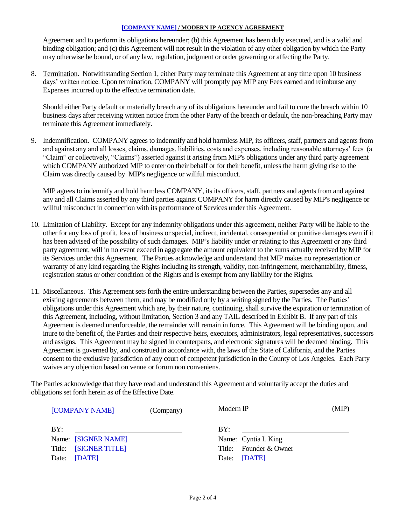Agreement and to perform its obligations hereunder; (b) this Agreement has been duly executed, and is a valid and binding obligation; and (c) this Agreement will not result in the violation of any other obligation by which the Party may otherwise be bound, or of any law, regulation, judgment or order governing or affecting the Party.

8. Termination. Notwithstanding Section 1, either Party may terminate this Agreement at any time upon 10 business days' written notice. Upon termination, COMPANY will promptly pay MIP any Fees earned and reimburse any Expenses incurred up to the effective termination date.

Should either Party default or materially breach any of its obligations hereunder and fail to cure the breach within 10 business days after receiving written notice from the other Party of the breach or default, the non-breaching Party may terminate this Agreement immediately.

9. Indemnification. COMPANY agrees to indemnify and hold harmless MIP, its officers, staff, partners and agents from and against any and all losses, claims, damages, liabilities, costs and expenses, including reasonable attorneys' fees (a "Claim" or collectively, "Claims") asserted against it arising from MIP's obligations under any third party agreement which COMPANY authorized MIP to enter on their behalf or for their benefit, unless the harm giving rise to the Claim was directly caused by MIP's negligence or willful misconduct.

MIP agrees to indemnify and hold harmless COMPANY, its its officers, staff, partners and agents from and against any and all Claims asserted by any third parties against COMPANY for harm directly caused by MIP's negligence or willful misconduct in connection with its performance of Services under this Agreement.

- 10. Limitation of Liability. Except for any indemnity obligations under this agreement, neither Party will be liable to the other for any loss of profit, loss of business or special, indirect, incidental, consequential or punitive damages even if it has been advised of the possibility of such damages. MIP's liability under or relating to this Agreement or any third party agreement, will in no event exceed in aggregate the amount equivalent to the sums actually received by MIP for its Services under this Agreement. The Parties acknowledge and understand that MIP makes no representation or warranty of any kind regarding the Rights including its strength, validity, non-infringement, merchantability, fitness, registration status or other condition of the Rights and is exempt from any liability for the Rights.
- 11. Miscellaneous. This Agreement sets forth the entire understanding between the Parties, supersedes any and all existing agreements between them, and may be modified only by a writing signed by the Parties. The Parties' obligations under this Agreement which are, by their nature, continuing, shall survive the expiration or termination of this Agreement, including, without limitation, Section 3 and any TAIL described in Exhibit B. If any part of this Agreement is deemed unenforceable, the remainder will remain in force. This Agreement will be binding upon, and inure to the benefit of, the Parties and their respective heirs, executors, administrators, legal representatives, successors and assigns. This Agreement may be signed in counterparts, and electronic signatures will be deemed binding. This Agreement is governed by, and construed in accordance with, the laws of the State of California, and the Parties consent to the exclusive jurisdiction of any court of competent jurisdiction in the County of Los Angeles. Each Party waives any objection based on venue or forum non conveniens.

The Parties acknowledge that they have read and understand this Agreement and voluntarily accept the duties and obligations set forth herein as of the Effective Date.

| [COMPANY NAME]        | (Company) | Modern IP              | (MIP) |  |
|-----------------------|-----------|------------------------|-------|--|
| BY:                   |           | BY:                    |       |  |
| Name: [SIGNER NAME]   |           | Name: Cyntia L King    |       |  |
| Title: [SIGNER TITLE] |           | Title: Founder & Owner |       |  |
| [DATE]<br>Date:       |           | Date: [DATE]           |       |  |
|                       |           |                        |       |  |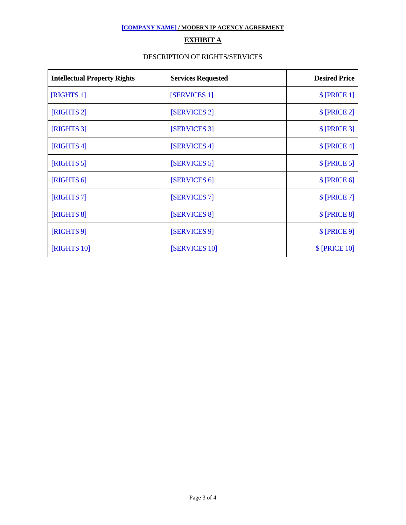## **EXHIBIT A**

### DESCRIPTION OF RIGHTS/SERVICES

| <b>Intellectual Property Rights</b> | <b>Services Requested</b> | <b>Desired Price</b> |
|-------------------------------------|---------------------------|----------------------|
| [RIGHTS 1]                          | [SERVICES 1]              | \$ [PRICE 1]         |
| [RIGHTS 2]                          | [SERVICES 2]              | $\[$ [PRICE 2]       |
| [RIGHTS 3]                          | [SERVICES 3]              | $\[$ [PRICE 3]       |
| [RIGHTS 4]                          | [SERVICES 4]              | $\$ [PRICE 4]        |
| [RIGHTS 5]                          | [SERVICES 5]              | $\[$ [PRICE 5]       |
| [RIGHTS 6]                          | [SERVICES 6]              | $\[$ [PRICE 6]       |
| [RIGHTS 7]                          | [SERVICES 7]              | $\[$ [PRICE 7]       |
| [RIGHTS 8]                          | [SERVICES 8]              | $\[$ [PRICE 8]       |
| [RIGHTS 9]                          | [SERVICES 9]              | $\[$ [PRICE 9]       |
| [RIGHTS 10]                         | [SERVICES 10]             | \$ [PRICE 10]        |